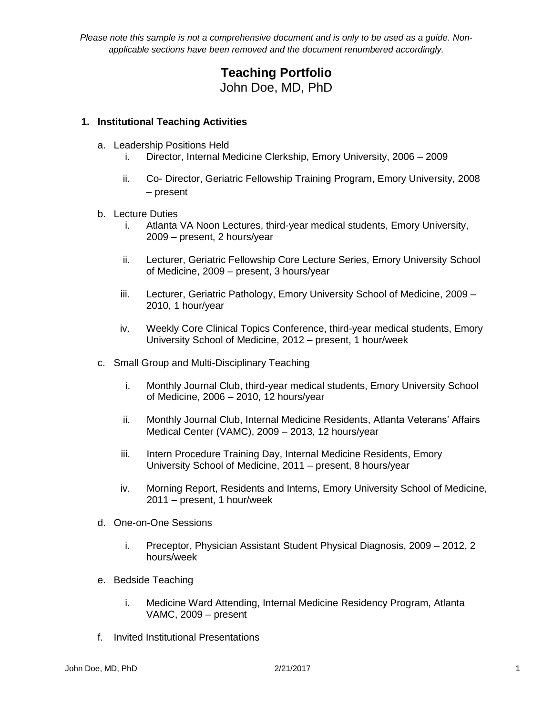# **Teaching Portfolio** John Doe, MD, PhD

### **1. Institutional Teaching Activities**

- a. Leadership Positions Held
	- i. Director, Internal Medicine Clerkship, Emory University, 2006 2009
	- ii. Co- Director, Geriatric Fellowship Training Program, Emory University, 2008 – present
- b. Lecture Duties
	- i. Atlanta VA Noon Lectures, third-year medical students, Emory University, 2009 – present, 2 hours/year
	- ii. Lecturer, Geriatric Fellowship Core Lecture Series, Emory University School of Medicine, 2009 – present, 3 hours/year
	- iii. Lecturer, Geriatric Pathology, Emory University School of Medicine, 2009 2010, 1 hour/year
	- iv. Weekly Core Clinical Topics Conference, third-year medical students, Emory University School of Medicine, 2012 – present, 1 hour/week
- c. Small Group and Multi-Disciplinary Teaching
	- i. Monthly Journal Club, third-year medical students, Emory University School of Medicine, 2006 – 2010, 12 hours/year
	- ii. Monthly Journal Club, Internal Medicine Residents, Atlanta Veterans' Affairs Medical Center (VAMC), 2009 – 2013, 12 hours/year
	- iii. Intern Procedure Training Day, Internal Medicine Residents, Emory University School of Medicine, 2011 – present, 8 hours/year
	- iv. Morning Report, Residents and Interns, Emory University School of Medicine, 2011 – present, 1 hour/week
- d. One-on-One Sessions
	- i. Preceptor, Physician Assistant Student Physical Diagnosis, 2009 2012, 2 hours/week
- e. Bedside Teaching
	- i. Medicine Ward Attending, Internal Medicine Residency Program, Atlanta VAMC, 2009 – present
- f. Invited Institutional Presentations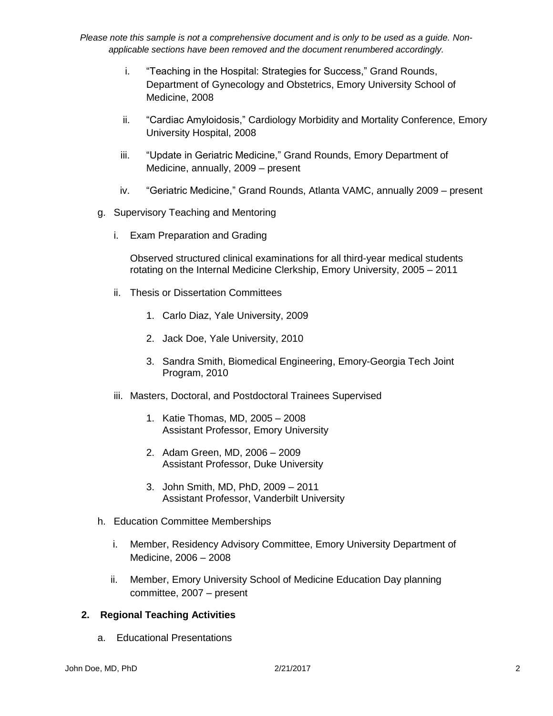- i. "Teaching in the Hospital: Strategies for Success," Grand Rounds, Department of Gynecology and Obstetrics, Emory University School of Medicine, 2008
- ii. "Cardiac Amyloidosis," Cardiology Morbidity and Mortality Conference, Emory University Hospital, 2008
- iii. "Update in Geriatric Medicine," Grand Rounds, Emory Department of Medicine, annually, 2009 – present
- iv. "Geriatric Medicine," Grand Rounds, Atlanta VAMC, annually 2009 present
- g. Supervisory Teaching and Mentoring
	- i. Exam Preparation and Grading

Observed structured clinical examinations for all third-year medical students rotating on the Internal Medicine Clerkship, Emory University, 2005 – 2011

- ii. Thesis or Dissertation Committees
	- 1. Carlo Diaz, Yale University, 2009
	- 2. Jack Doe, Yale University, 2010
	- 3. Sandra Smith, Biomedical Engineering, Emory-Georgia Tech Joint Program, 2010
- iii. Masters, Doctoral, and Postdoctoral Trainees Supervised
	- 1. Katie Thomas, MD, 2005 2008 Assistant Professor, Emory University
	- 2. Adam Green, MD, 2006 2009 Assistant Professor, Duke University
	- 3. John Smith, MD, PhD, 2009 2011 Assistant Professor, Vanderbilt University
- h. Education Committee Memberships
	- i. Member, Residency Advisory Committee, Emory University Department of Medicine, 2006 – 2008
	- ii. Member, Emory University School of Medicine Education Day planning committee, 2007 – present

#### **2. Regional Teaching Activities**

a. Educational Presentations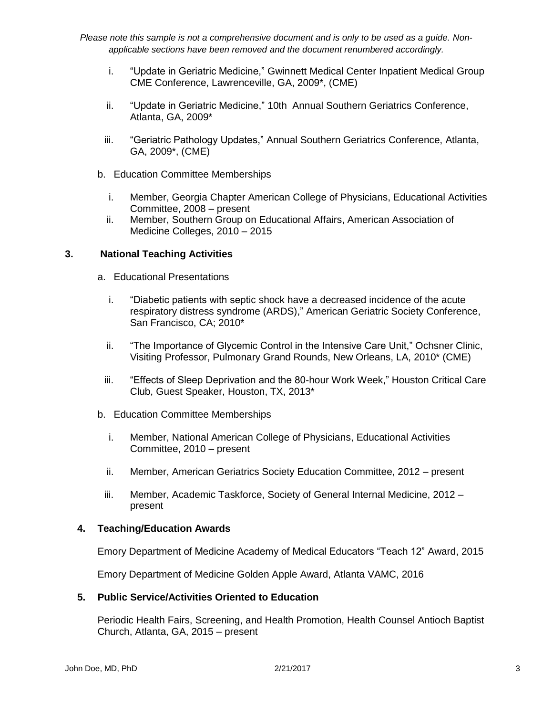- i. "Update in Geriatric Medicine," Gwinnett Medical Center Inpatient Medical Group CME Conference, Lawrenceville, GA, 2009\*, (CME)
- ii. "Update in Geriatric Medicine," 10th Annual Southern Geriatrics Conference, Atlanta, GA, 2009\*
- iii. "Geriatric Pathology Updates," Annual Southern Geriatrics Conference, Atlanta, GA, 2009\*, (CME)
- b. Education Committee Memberships
	- i. Member, Georgia Chapter American College of Physicians, Educational Activities Committee, 2008 – present
	- ii. Member, Southern Group on Educational Affairs, American Association of Medicine Colleges, 2010 – 2015

### **3. National Teaching Activities**

- a. Educational Presentations
	- i. "Diabetic patients with septic shock have a decreased incidence of the acute respiratory distress syndrome (ARDS)," American Geriatric Society Conference, San Francisco, CA; 2010\*
	- ii. "The Importance of Glycemic Control in the Intensive Care Unit," Ochsner Clinic, Visiting Professor, Pulmonary Grand Rounds, New Orleans, LA, 2010\* (CME)
	- iii. "Effects of Sleep Deprivation and the 80-hour Work Week," Houston Critical Care Club, Guest Speaker, Houston, TX, 2013\*
- b. Education Committee Memberships
	- i. Member, National American College of Physicians, Educational Activities Committee, 2010 – present
	- ii. Member, American Geriatrics Society Education Committee, 2012 present
	- iii. Member, Academic Taskforce, Society of General Internal Medicine, 2012 present

#### **4. Teaching/Education Awards**

Emory Department of Medicine Academy of Medical Educators "Teach 12" Award, 2015

Emory Department of Medicine Golden Apple Award, Atlanta VAMC, 2016

#### **5. Public Service/Activities Oriented to Education**

Periodic Health Fairs, Screening, and Health Promotion, Health Counsel Antioch Baptist Church, Atlanta, GA, 2015 – present